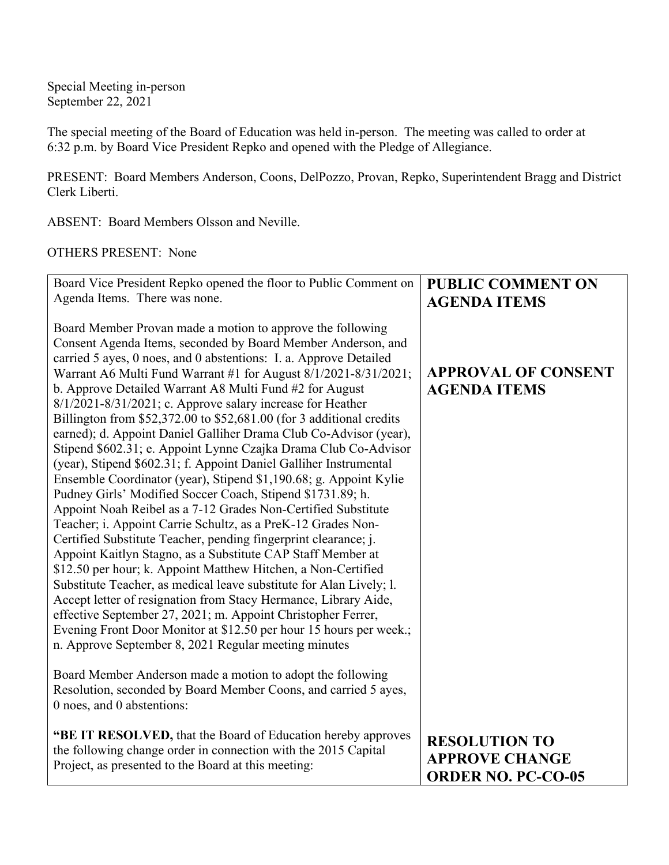Special Meeting in-person September 22, 2021

The special meeting of the Board of Education was held in-person. The meeting was called to order at 6:32 p.m. by Board Vice President Repko and opened with the Pledge of Allegiance.

PRESENT: Board Members Anderson, Coons, DelPozzo, Provan, Repko, Superintendent Bragg and District Clerk Liberti.

ABSENT: Board Members Olsson and Neville.

## OTHERS PRESENT: None

| Board Vice President Repko opened the floor to Public Comment on                                                                                                                                                                                                                                                                                                                                                                                                                                                                                                                                                                                                                                                                                                                                                                                                                                                                                                                                                                                                                                                                                                                                                                                                                                                                                                                                                                                                                                     | <b>PUBLIC COMMENT ON</b>                          |
|------------------------------------------------------------------------------------------------------------------------------------------------------------------------------------------------------------------------------------------------------------------------------------------------------------------------------------------------------------------------------------------------------------------------------------------------------------------------------------------------------------------------------------------------------------------------------------------------------------------------------------------------------------------------------------------------------------------------------------------------------------------------------------------------------------------------------------------------------------------------------------------------------------------------------------------------------------------------------------------------------------------------------------------------------------------------------------------------------------------------------------------------------------------------------------------------------------------------------------------------------------------------------------------------------------------------------------------------------------------------------------------------------------------------------------------------------------------------------------------------------|---------------------------------------------------|
| Agenda Items. There was none.                                                                                                                                                                                                                                                                                                                                                                                                                                                                                                                                                                                                                                                                                                                                                                                                                                                                                                                                                                                                                                                                                                                                                                                                                                                                                                                                                                                                                                                                        | <b>AGENDA ITEMS</b>                               |
| Board Member Provan made a motion to approve the following<br>Consent Agenda Items, seconded by Board Member Anderson, and<br>carried 5 ayes, 0 noes, and 0 abstentions: I. a. Approve Detailed<br>Warrant A6 Multi Fund Warrant #1 for August 8/1/2021-8/31/2021;<br>b. Approve Detailed Warrant A8 Multi Fund #2 for August<br>$8/1/2021 - 8/31/2021$ ; c. Approve salary increase for Heather<br>Billington from \$52,372.00 to \$52,681.00 (for 3 additional credits<br>earned); d. Appoint Daniel Galliher Drama Club Co-Advisor (year),<br>Stipend \$602.31; e. Appoint Lynne Czajka Drama Club Co-Advisor<br>(year), Stipend \$602.31; f. Appoint Daniel Galliher Instrumental<br>Ensemble Coordinator (year), Stipend \$1,190.68; g. Appoint Kylie<br>Pudney Girls' Modified Soccer Coach, Stipend \$1731.89; h.<br>Appoint Noah Reibel as a 7-12 Grades Non-Certified Substitute<br>Teacher; i. Appoint Carrie Schultz, as a PreK-12 Grades Non-<br>Certified Substitute Teacher, pending fingerprint clearance; j.<br>Appoint Kaitlyn Stagno, as a Substitute CAP Staff Member at<br>\$12.50 per hour; k. Appoint Matthew Hitchen, a Non-Certified<br>Substitute Teacher, as medical leave substitute for Alan Lively; l.<br>Accept letter of resignation from Stacy Hermance, Library Aide,<br>effective September 27, 2021; m. Appoint Christopher Ferrer,<br>Evening Front Door Monitor at \$12.50 per hour 15 hours per week.;<br>n. Approve September 8, 2021 Regular meeting minutes | <b>APPROVAL OF CONSENT</b><br><b>AGENDA ITEMS</b> |
| Board Member Anderson made a motion to adopt the following<br>Resolution, seconded by Board Member Coons, and carried 5 ayes,<br>0 noes, and 0 abstentions:                                                                                                                                                                                                                                                                                                                                                                                                                                                                                                                                                                                                                                                                                                                                                                                                                                                                                                                                                                                                                                                                                                                                                                                                                                                                                                                                          |                                                   |
| "BE IT RESOLVED, that the Board of Education hereby approves                                                                                                                                                                                                                                                                                                                                                                                                                                                                                                                                                                                                                                                                                                                                                                                                                                                                                                                                                                                                                                                                                                                                                                                                                                                                                                                                                                                                                                         | <b>RESOLUTION TO</b>                              |
| the following change order in connection with the 2015 Capital                                                                                                                                                                                                                                                                                                                                                                                                                                                                                                                                                                                                                                                                                                                                                                                                                                                                                                                                                                                                                                                                                                                                                                                                                                                                                                                                                                                                                                       | <b>APPROVE CHANGE</b>                             |
| Project, as presented to the Board at this meeting:                                                                                                                                                                                                                                                                                                                                                                                                                                                                                                                                                                                                                                                                                                                                                                                                                                                                                                                                                                                                                                                                                                                                                                                                                                                                                                                                                                                                                                                  | <b>ORDER NO. PC-CO-05</b>                         |